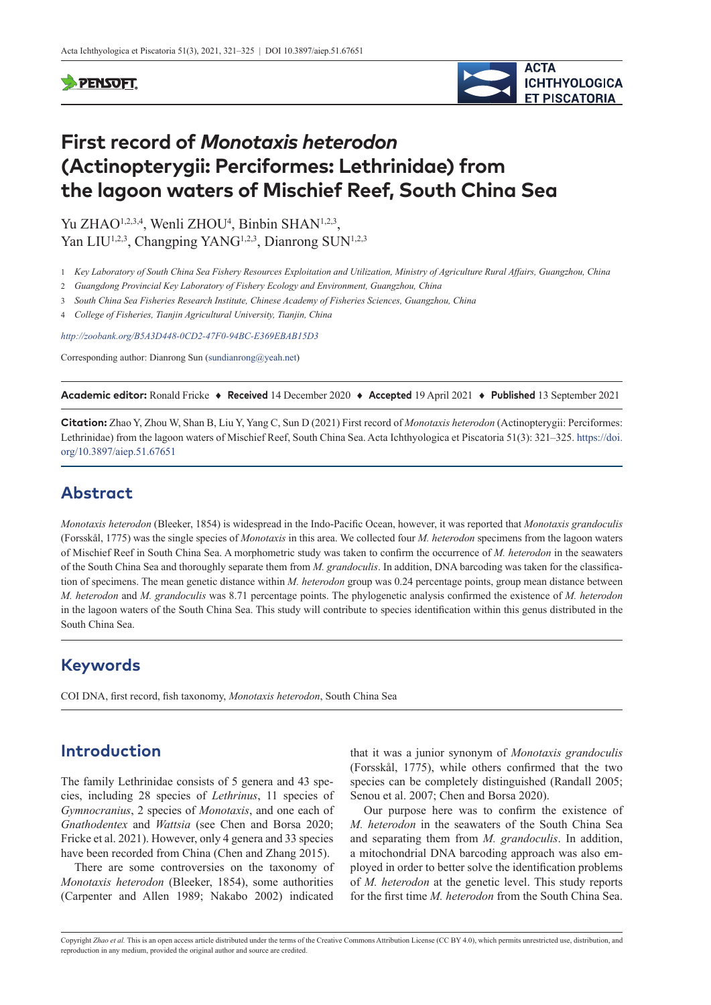#### **PENSOFT**



# **First record of** *Monotaxis heterodon* **(Actinopterygii: Perciformes: Lethrinidae) from the lagoon waters of Mischief Reef, South China Sea**

Yu ZHAO<sup>1,2,3,4</sup>, Wenli ZHOU<sup>4</sup>, Binbin SHAN<sup>1,2,3</sup>, Yan LIU<sup>1,2,3</sup>, Changping YANG<sup>1,2,3</sup>, Dianrong SUN<sup>1,2,3</sup>

- 1 Key Laboratory of South China Sea Fishery Resources Exploitation and Utilization, Ministry of Agriculture Rural Affairs, Guangzhou, China
- 2 *Guangdong Provincial Key Laboratory of Fishery Ecology and Environment, Guangzhou, China*
- 3 *South China Sea Fisheries Research Institute, Chinese Academy of Fisheries Sciences, Guangzhou, China*
- 4 *College of Fisheries, Tianjin Agricultural University, Tianjin, China*

*<http://zoobank.org/B5A3D448-0CD2-47F0-94BC-E369EBAB15D3>*

Corresponding author: Dianrong Sun ([sundianrong@yeah.net](mailto:sundianrong@yeah.net))

**Academic editor:** Ronald Fricke ♦ **Received** 14 December 2020 ♦ **Accepted** 19 April 2021 ♦ **Published** 13 September 2021

**Citation:** Zhao Y, Zhou W, Shan B, Liu Y, Yang C, Sun D (2021) First record of *Monotaxis heterodon* (Actinopterygii: Perciformes: Lethrinidae) from the lagoon waters of Mischief Reef, South China Sea. Acta Ichthyologica et Piscatoria 51(3): 321–325. [https://doi.](https://doi.org/10.3897/aiep.51.67651) [org/10.3897/aiep.51.67651](https://doi.org/10.3897/aiep.51.67651)

## **Abstract**

*Monotaxis heterodon* (Bleeker, 1854) is widespread in the Indo-Pacific Ocean, however, it was reported that *Monotaxis grandoculis* (Forsskål, 1775) was the single species of *Monotaxis* in this area. We collected four *M. heterodon* specimens from the lagoon waters of Mischief Reef in South China Sea. A morphometric study was taken to confirm the occurrence of *M. heterodon* in the seawaters of the South China Sea and thoroughly separate them from *M. grandoculis*. In addition, DNA barcoding was taken for the classification of specimens. The mean genetic distance within *M. heterodon* group was 0.24 percentage points, group mean distance between *M. heterodon* and *M. grandoculis* was 8.71 percentage points. The phylogenetic analysis confirmed the existence of *M. heterodon* in the lagoon waters of the South China Sea. This study will contribute to species identification within this genus distributed in the South China Sea.

#### **Keywords**

COI DNA, first record, fish taxonomy, *Monotaxis heterodon*, South China Sea

# **Introduction**

The family Lethrinidae consists of 5 genera and 43 species, including 28 species of *Lethrinus*, 11 species of *Gymnocranius*, 2 species of *Monotaxis*, and one each of *Gnathodentex* and *Wattsia* (see Chen and Borsa 2020; Fricke et al. 2021). However, only 4 genera and 33 species have been recorded from China (Chen and Zhang 2015).

There are some controversies on the taxonomy of *Monotaxis heterodon* (Bleeker, 1854), some authorities (Carpenter and Allen 1989; Nakabo 2002) indicated

that it was a junior synonym of *Monotaxis grandoculis* (Forsskål, 1775), while others confirmed that the two species can be completely distinguished (Randall 2005; Senou et al. 2007; Chen and Borsa 2020).

Our purpose here was to confirm the existence of *M. heterodon* in the seawaters of the South China Sea and separating them from *M. grandoculis*. In addition, a mitochondrial DNA barcoding approach was also employed in order to better solve the identification problems of *M. heterodon* at the genetic level. This study reports for the first time *M. heterodon* from the South China Sea.

Copyright *Zhao et al.* This is an open access article distributed under the terms of the [Creative Commons Attribution License \(CC BY 4.0\),](http://creativecommons.org/licenses/by/4.0/) which permits unrestricted use, distribution, and reproduction in any medium, provided the original author and source are credited.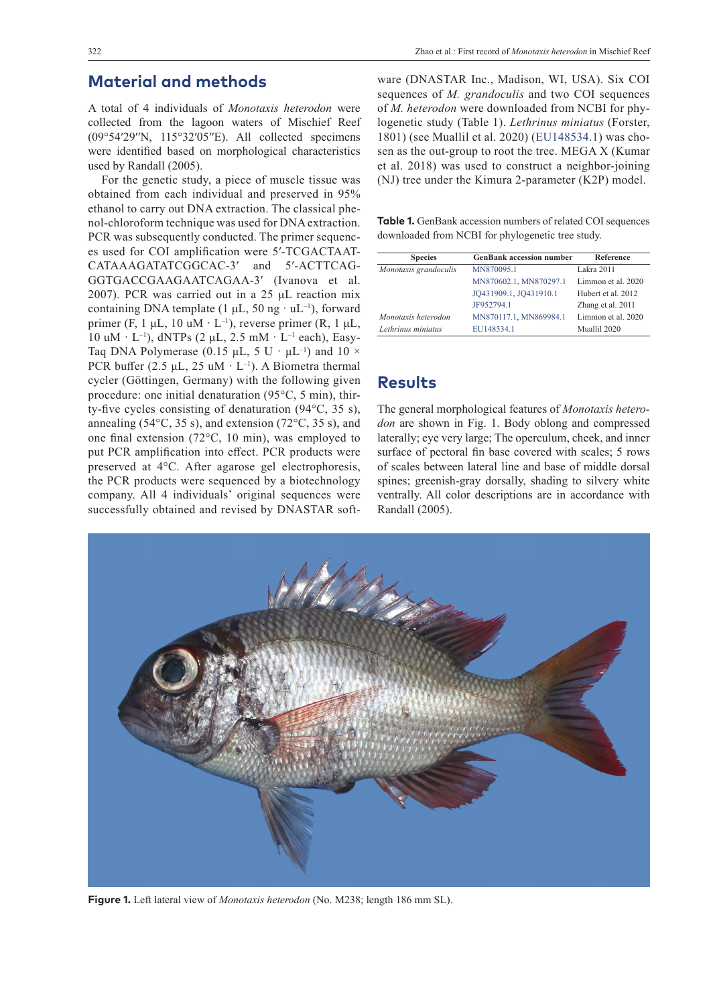#### **Material and methods**

A total of 4 individuals of *Monotaxis heterodon* were collected from the lagoon waters of Mischief Reef (09°54′29′′N, 115°32′05′′E). All collected specimens were identified based on morphological characteristics used by Randall (2005).

For the genetic study, a piece of muscle tissue was obtained from each individual and preserved in 95% ethanol to carry out DNA extraction. The classical phenol-chloroform technique was used for DNA extraction. PCR was subsequently conducted. The primer sequences used for COI amplification were 5′-TCGACTAAT-CATAAAGATATCGGCAC-3′ and 5′-ACTTCAG-GGTGACCGAAGAATCAGAA-3′ (Ivanova et al. 2007). PCR was carried out in a 25 μL reaction mix containing DNA template (1  $\mu$ L, 50 ng · uL<sup>-1</sup>), forward primer (F, 1  $\mu$ L, 10 uM · L<sup>-1</sup>), reverse primer (R, 1  $\mu$ L,  $10$  uM  $\cdot$  L<sup>-1</sup>), dNTPs (2 µL, 2.5 mM  $\cdot$  L<sup>-1</sup> each), Easy-Taq DNA Polymerase (0.15  $\mu$ L, 5 U ·  $\mu$ L<sup>-1</sup>) and 10 × PCR buffer (2.5  $\mu$ L, 25 uM · L<sup>-1</sup>). A Biometra thermal cycler (Göttingen, Germany) with the following given procedure: one initial denaturation (95°C, 5 min), thirty-five cycles consisting of denaturation (94°C, 35 s), annealing (54 $\rm ^{o}C$ , 35 s), and extension (72 $\rm ^{o}C$ , 35 s), and one final extension (72°C, 10 min), was employed to put PCR amplification into effect. PCR products were preserved at 4°C. After agarose gel electrophoresis, the PCR products were sequenced by a biotechnology company. All 4 individuals' original sequences were successfully obtained and revised by DNASTAR software (DNASTAR Inc., Madison, WI, USA). Six COI sequences of *M. grandoculis* and two COI sequences of *M. heterodon* were downloaded from NCBI for phylogenetic study (Table 1). *Lethrinus miniatus* (Forster, 1801) (see Muallil et al. 2020) ([EU148534.1](http://www.ncbi.nlm.nih.gov/nuccore/EU148534.1)) was chosen as the out-group to root the tree. MEGA X (Kumar et al. 2018) was used to construct a neighbor-joining (NJ) tree under the Kimura 2-parameter (K2P) model.

**Table 1.** GenBank accession numbers of related COI sequences downloaded from NCBI for phylogenetic tree study.

| <b>Species</b>        | <b>GenBank accession number</b> | <b>Reference</b>   |
|-----------------------|---------------------------------|--------------------|
| Monotaxis grandoculis | MN870095.1                      | Lakra 2011         |
|                       | MN870602.1, MN870297.1          | Limmon et al. 2020 |
|                       | JO431909.1, JO431910.1          | Hubert et al. 2012 |
|                       | JF952794.1                      | Zhang et al. 2011  |
| Monotaxis heterodon   | MN870117.1, MN869984.1          | Limmon et al. 2020 |
| Lethrinus miniatus    | EU148534.1                      | Muallil 2020       |

#### **Results**

The general morphological features of *Monotaxis heterodon* are shown in Fig. 1. Body oblong and compressed laterally; eye very large; The operculum, cheek, and inner surface of pectoral fin base covered with scales; 5 rows of scales between lateral line and base of middle dorsal spines; greenish-gray dorsally, shading to silvery white ventrally. All color descriptions are in accordance with Randall (2005).



**Figure 1.** Left lateral view of *Monotaxis heterodon* (No. M238; length 186 mm SL).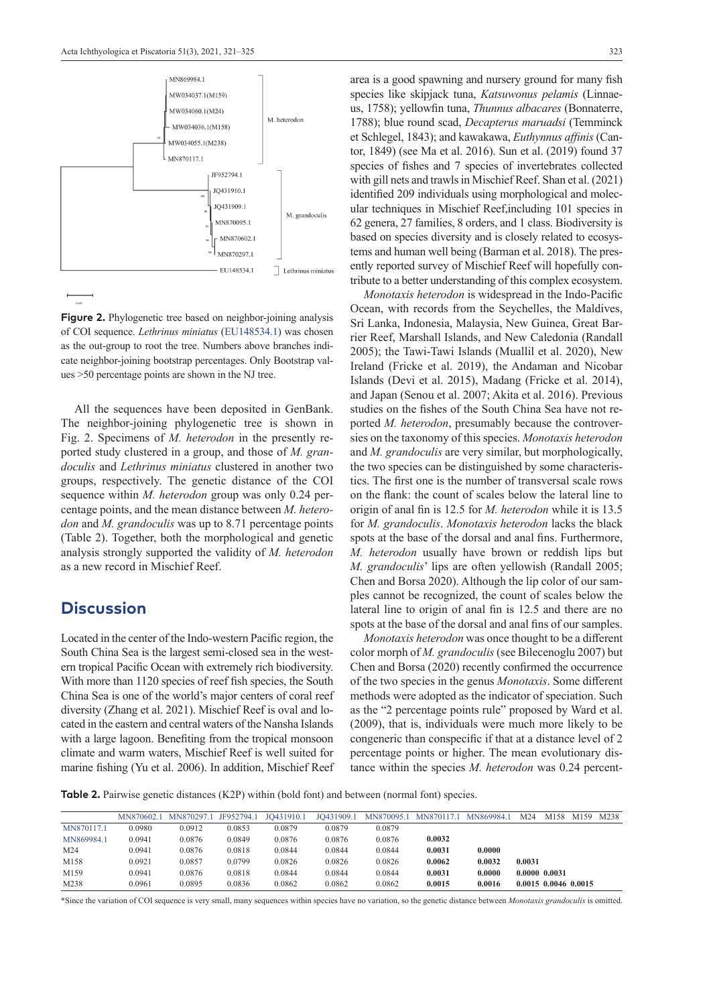

**Figure 2.** Phylogenetic tree based on neighbor-joining analysis of COI sequence. *Lethrinus miniatus* ([EU148534.1](http://www.ncbi.nlm.nih.gov/nuccore/EU148534.1)) was chosen as the out-group to root the tree. Numbers above branches indicate neighbor-joining bootstrap percentages. Only Bootstrap values >50 percentage points are shown in the NJ tree.

All the sequences have been deposited in GenBank. The neighbor-joining phylogenetic tree is shown in Fig. 2. Specimens of *M. heterodon* in the presently reported study clustered in a group, and those of *M. grandoculis* and *Lethrinus miniatus* clustered in another two groups, respectively. The genetic distance of the COI sequence within *M. heterodon* group was only 0.24 percentage points, and the mean distance between *M. heterodon* and *M. grandoculis* was up to 8.71 percentage points (Table 2). Together, both the morphological and genetic analysis strongly supported the validity of *M. heterodon* as a new record in Mischief Reef.

#### **Discussion**

Located in the center of the Indo-western Pacific region, the South China Sea is the largest semi-closed sea in the western tropical Pacific Ocean with extremely rich biodiversity. With more than 1120 species of reef fish species, the South China Sea is one of the world's major centers of coral reef diversity (Zhang et al. 2021). Mischief Reef is oval and located in the eastern and central waters of the Nansha Islands with a large lagoon. Benefiting from the tropical monsoon climate and warm waters, Mischief Reef is well suited for marine fishing (Yu et al. 2006). In addition, Mischief Reef area is a good spawning and nursery ground for many fish species like skipjack tuna, *Katsuwonus pelamis* (Linnaeus, 1758); yellowfin tuna, *Thunnus albacares* (Bonnaterre, 1788); blue round scad, *Decapterus maruadsi* (Temminck et Schlegel, 1843); and kawakawa, *Euthynnus affinis* (Cantor, 1849) (see Ma et al. 2016). Sun et al. (2019) found 37 species of fishes and 7 species of invertebrates collected with gill nets and trawls in Mischief Reef. Shan et al. (2021) identified 209 individuals using morphological and molecular techniques in Mischief Reef,including 101 species in 62 genera, 27 families, 8 orders, and 1 class. Biodiversity is based on species diversity and is closely related to ecosystems and human well being (Barman et al. 2018). The presently reported survey of Mischief Reef will hopefully contribute to a better understanding of this complex ecosystem.

*Monotaxis heterodon* is widespread in the Indo-Pacific Ocean, with records from the Seychelles, the Maldives, Sri Lanka, Indonesia, Malaysia, New Guinea, Great Barrier Reef, Marshall Islands, and New Caledonia (Randall 2005); the Tawi-Tawi Islands (Muallil et al. 2020), New Ireland (Fricke et al. 2019), the Andaman and Nicobar Islands (Devi et al. 2015), Madang (Fricke et al. 2014), and Japan (Senou et al. 2007; Akita et al. 2016). Previous studies on the fishes of the South China Sea have not reported *M. heterodon*, presumably because the controversies on the taxonomy of this species. *Monotaxis heterodon* and *M. grandoculis* are very similar, but morphologically, the two species can be distinguished by some characteristics. The first one is the number of transversal scale rows on the flank: the count of scales below the lateral line to origin of anal fin is 12.5 for *M. heterodon* while it is 13.5 for *M. grandoculis*. *Monotaxis heterodon* lacks the black spots at the base of the dorsal and anal fins. Furthermore, *M. heterodon* usually have brown or reddish lips but *M. grandoculis*' lips are often yellowish (Randall 2005; Chen and Borsa 2020). Although the lip color of our samples cannot be recognized, the count of scales below the lateral line to origin of anal fin is 12.5 and there are no spots at the base of the dorsal and anal fins of our samples.

*Monotaxis heterodon* was once thought to be a different color morph of *M. grandoculis* (see Bilecenoglu 2007) but Chen and Borsa (2020) recently confirmed the occurrence of the two species in the genus *Monotaxis*. Some different methods were adopted as the indicator of speciation. Such as the "2 percentage points rule" proposed by Ward et al. (2009), that is, individuals were much more likely to be congeneric than conspecific if that at a distance level of 2 percentage points or higher. The mean evolutionary distance within the species *M. heterodon* was 0.24 percent-

**Table 2.** Pairwise genetic distances (K2P) within (bold font) and between (normal font) species.

|            | MN870602.1 | MN870297.1 JF952794.1 |        | JO431910.1 | JO431909.1 |        | MN870095.1 MN870117.1 MN869984.1 |        | M24           | M158 | M <sub>159</sub>       | M238 |
|------------|------------|-----------------------|--------|------------|------------|--------|----------------------------------|--------|---------------|------|------------------------|------|
| MN870117.1 | 0.0980     | 0.0912                | 0.0853 | 0.0879     | 0.0879     | 0.0879 |                                  |        |               |      |                        |      |
| MN869984.1 | 0.0941     | 0.0876                | 0.0849 | 0.0876     | 0.0876     | 0.0876 | 0.0032                           |        |               |      |                        |      |
| M24        | 0.0941     | 0.0876                | 0.0818 | 0.0844     | 0.0844     | 0.0844 | 0.0031                           | 0.0000 |               |      |                        |      |
| M158       | 0.0921     | 0.0857                | 0.0799 | 0.0826     | 0.0826     | 0.0826 | 0.0062                           | 0.0032 | 0.0031        |      |                        |      |
| M159       | 0.0941     | 0.0876                | 0.0818 | 0.0844     | 0.0844     | 0.0844 | 0.0031                           | 0.0000 | 0.0000 0.0031 |      |                        |      |
| M238       | 0.0961     | 0.0895                | 0.0836 | 0.0862     | 0.0862     | 0.0862 | 0.0015                           | 0.0016 |               |      | $0.0015$ 0.0046 0.0015 |      |

\*Since the variation of COI sequence is very small, many sequences within species have no variation, so the genetic distance between *Monotaxis grandoculis* is omitted.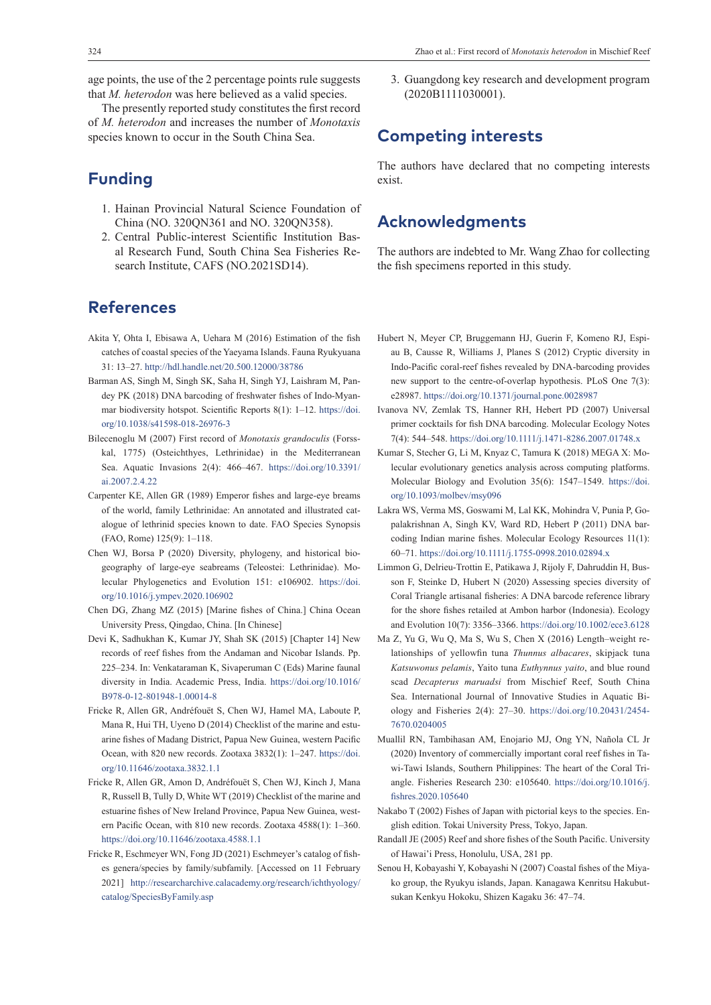age points, the use of the 2 percentage points rule suggests that *M. heterodon* was here believed as a valid species.

The presently reported study constitutes the first record of *M. heterodon* and increases the number of *Monotaxis* species known to occur in the South China Sea.

# **Funding**

- 1. Hainan Provincial Natural Science Foundation of China (NO. 320QN361 and NO. 320QN358).
- 2. Central Public-interest Scientific Institution Basal Research Fund, South China Sea Fisheries Research Institute, CAFS (NO.2021SD14).

# **References**

- Akita Y, Ohta I, Ebisawa A, Uehara M (2016) Estimation of the fish catches of coastal species of the Yaeyama Islands. Fauna Ryukyuana 31: 13–27.<http://hdl.handle.net/20.500.12000/38786>
- Barman AS, Singh M, Singh SK, Saha H, Singh YJ, Laishram M, Pandey PK (2018) DNA barcoding of freshwater fishes of Indo-Myanmar biodiversity hotspot. Scientific Reports 8(1): 1–12. [https://doi.](https://doi.org/10.1038/s41598-018-26976-3) [org/10.1038/s41598-018-26976-3](https://doi.org/10.1038/s41598-018-26976-3)
- Bilecenoglu M (2007) First record of *Monotaxis grandoculis* (Forsskal, 1775) (Osteichthyes, Lethrinidae) in the Mediterranean Sea. Aquatic Invasions 2(4): 466–467. [https://doi.org/10.3391/](https://doi.org/10.3391/ai.2007.2.4.22) [ai.2007.2.4.22](https://doi.org/10.3391/ai.2007.2.4.22)
- Carpenter KE, Allen GR (1989) Emperor fishes and large-eye breams of the world, family Lethrinidae: An annotated and illustrated catalogue of lethrinid species known to date. FAO Species Synopsis (FAO, Rome) 125(9): 1–118.
- Chen WJ, Borsa P (2020) Diversity, phylogeny, and historical biogeography of large-eye seabreams (Teleostei: Lethrinidae). Molecular Phylogenetics and Evolution 151: e106902. [https://doi.](https://doi.org/10.1016/j.ympev.2020.106902) [org/10.1016/j.ympev.2020.106902](https://doi.org/10.1016/j.ympev.2020.106902)
- Chen DG, Zhang MZ (2015) [Marine fishes of China.] China Ocean University Press, Qingdao, China. [In Chinese]
- Devi K, Sadhukhan K, Kumar JY, Shah SK (2015) [Chapter 14] New records of reef fishes from the Andaman and Nicobar Islands. Pp. 225–234. In: Venkataraman K, Sivaperuman C (Eds) Marine faunal diversity in India. Academic Press, India. [https://doi.org/10.1016/](https://doi.org/10.1016/B978-0-12-801948-1.00014-8) [B978-0-12-801948-1.00014-8](https://doi.org/10.1016/B978-0-12-801948-1.00014-8)
- Fricke R, Allen GR, Andréfouët S, Chen WJ, Hamel MA, Laboute P, Mana R, Hui TH, Uyeno D (2014) Checklist of the marine and estuarine fishes of Madang District, Papua New Guinea, western Pacific Ocean, with 820 new records. Zootaxa 3832(1): 1–247. [https://doi.](https://doi.org/10.11646/zootaxa.3832.1.1) [org/10.11646/zootaxa.3832.1.1](https://doi.org/10.11646/zootaxa.3832.1.1)
- Fricke R, Allen GR, Amon D, Andréfouët S, Chen WJ, Kinch J, Mana R, Russell B, Tully D, White WT (2019) Checklist of the marine and estuarine fishes of New Ireland Province, Papua New Guinea, western Pacific Ocean, with 810 new records. Zootaxa 4588(1): 1–360. <https://doi.org/10.11646/zootaxa.4588.1.1>
- Fricke R, Eschmeyer WN, Fong JD (2021) Eschmeyer's catalog of fishes genera/species by family/subfamily. [Accessed on 11 February 2021] [http://researcharchive.calacademy.org/research/ichthyology/](http://researcharchive.calacademy.org/research/ichthyology/catalog/SpeciesByFamily.asp) [catalog/SpeciesByFamily.asp](http://researcharchive.calacademy.org/research/ichthyology/catalog/SpeciesByFamily.asp)

3. Guangdong key research and development program (2020B1111030001).

#### **Competing interests**

The authors have declared that no competing interests exist.

### **Acknowledgments**

The authors are indebted to Mr. Wang Zhao for collecting the fish specimens reported in this study.

- Hubert N, Meyer CP, Bruggemann HJ, Guerin F, Komeno RJ, Espiau B, Causse R, Williams J, Planes S (2012) Cryptic diversity in Indo-Pacific coral-reef fishes revealed by DNA-barcoding provides new support to the centre-of-overlap hypothesis. PLoS One 7(3): e28987. <https://doi.org/10.1371/journal.pone.0028987>
- Ivanova NV, Zemlak TS, Hanner RH, Hebert PD (2007) Universal primer cocktails for fish DNA barcoding. Molecular Ecology Notes 7(4): 544–548. <https://doi.org/10.1111/j.1471-8286.2007.01748.x>
- Kumar S, Stecher G, Li M, Knyaz C, Tamura K (2018) MEGA X: Molecular evolutionary genetics analysis across computing platforms. Molecular Biology and Evolution 35(6): 1547–1549. [https://doi.](https://doi.org/10.1093/molbev/msy096) [org/10.1093/molbev/msy096](https://doi.org/10.1093/molbev/msy096)
- Lakra WS, Verma MS, Goswami M, Lal KK, Mohindra V, Punia P, Gopalakrishnan A, Singh KV, Ward RD, Hebert P (2011) DNA barcoding Indian marine fishes. Molecular Ecology Resources 11(1): 60–71. <https://doi.org/10.1111/j.1755-0998.2010.02894.x>
- Limmon G, Delrieu-Trottin E, Patikawa J, Rijoly F, Dahruddin H, Busson F, Steinke D, Hubert N (2020) Assessing species diversity of Coral Triangle artisanal fisheries: A DNA barcode reference library for the shore fishes retailed at Ambon harbor (Indonesia). Ecology and Evolution 10(7): 3356–3366.<https://doi.org/10.1002/ece3.6128>
- Ma Z, Yu G, Wu Q, Ma S, Wu S, Chen X (2016) Length–weight relationships of yellowfin tuna *Thunnus albacares*, skipjack tuna *Katsuwonus pelamis*, Yaito tuna *Euthynnus yaito*, and blue round scad *Decapterus maruadsi* from Mischief Reef, South China Sea. International Journal of Innovative Studies in Aquatic Biology and Fisheries 2(4): 27–30. [https://doi.org/10.20431/2454-](https://doi.org/10.20431/2454-7670.0204005) [7670.0204005](https://doi.org/10.20431/2454-7670.0204005)
- Muallil RN, Tambihasan AM, Enojario MJ, Ong YN, Nañola CL Jr (2020) Inventory of commercially important coral reef fishes in Tawi-Tawi Islands, Southern Philippines: The heart of the Coral Triangle. Fisheries Research 230: e105640. [https://doi.org/10.1016/j.](https://doi.org/10.1016/j.fishres.2020.105640) [fishres.2020.105640](https://doi.org/10.1016/j.fishres.2020.105640)
- Nakabo T (2002) Fishes of Japan with pictorial keys to the species. English edition. Tokai University Press, Tokyo, Japan.
- Randall JE (2005) Reef and shore fishes of the South Pacific. University of Hawai'i Press, Honolulu, USA, 281 pp.
- Senou H, Kobayashi Y, Kobayashi N (2007) Coastal fishes of the Miyako group, the Ryukyu islands, Japan. Kanagawa Kenritsu Hakubutsukan Kenkyu Hokoku, Shizen Kagaku 36: 47–74.